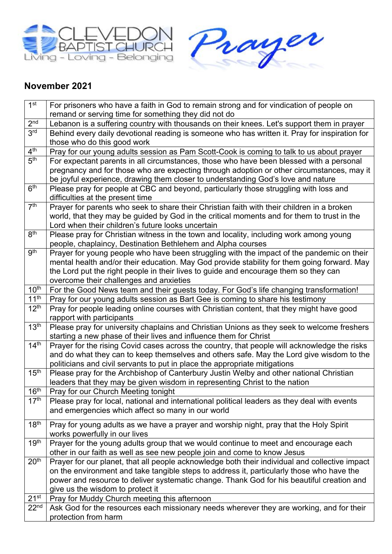



## **November 2021**

| 1 <sup>st</sup>  | For prisoners who have a faith in God to remain strong and for vindication of people on                                 |
|------------------|-------------------------------------------------------------------------------------------------------------------------|
|                  | remand or serving time for something they did not do                                                                    |
| 2 <sup>nd</sup>  | Lebanon is a suffering country with thousands on their knees. Let's support them in prayer                              |
| 3 <sup>rd</sup>  | Behind every daily devotional reading is someone who has written it. Pray for inspiration for                           |
|                  | those who do this good work                                                                                             |
| 4 <sup>th</sup>  | Pray for our young adults session as Pam Scott-Cook is coming to talk to us about prayer                                |
| 5 <sup>th</sup>  | For expectant parents in all circumstances, those who have been blessed with a personal                                 |
|                  | pregnancy and for those who are expecting through adoption or other circumstances, may it                               |
|                  | be joyful experience, drawing them closer to understanding God's love and nature                                        |
| 6 <sup>th</sup>  | Please pray for people at CBC and beyond, particularly those struggling with loss and                                   |
|                  | difficulties at the present time                                                                                        |
| 7 <sup>th</sup>  | Prayer for parents who seek to share their Christian faith with their children in a broken                              |
|                  | world, that they may be guided by God in the critical moments and for them to trust in the                              |
|                  | Lord when their children's future looks uncertain                                                                       |
| 8 <sup>th</sup>  | Please pray for Christian witness in the town and locality, including work among young                                  |
|                  | people, chaplaincy, Destination Bethlehem and Alpha courses                                                             |
| <b>gth</b>       | Prayer for young people who have been struggling with the impact of the pandemic on their                               |
|                  | mental health and/or their education. May God provide stability for them going forward. May                             |
|                  | the Lord put the right people in their lives to guide and encourage them so they can                                    |
|                  | overcome their challenges and anxieties                                                                                 |
| 10 <sup>th</sup> | For the Good News team and their guests today. For God's life changing transformation!                                  |
| 11 <sup>th</sup> | Pray for our young adults session as Bart Gee is coming to share his testimony                                          |
| 12 <sup>th</sup> | Pray for people leading online courses with Christian content, that they might have good                                |
|                  | rapport with participants                                                                                               |
| 13 <sup>th</sup> | Please pray for university chaplains and Christian Unions as they seek to welcome freshers                              |
|                  | starting a new phase of their lives and influence them for Christ                                                       |
| 14 <sup>th</sup> | Prayer for the rising Covid cases across the country, that people will acknowledge the risks                            |
|                  | and do what they can to keep themselves and others safe. May the Lord give wisdom to the                                |
|                  | politicians and civil servants to put in place the appropriate mitigations                                              |
| 15 <sup>th</sup> | Please pray for the Archbishop of Canterbury Justin Welby and other national Christian                                  |
|                  | leaders that they may be given wisdom in representing Christ to the nation                                              |
| 16 <sup>th</sup> | Pray for our Church Meeting tonight                                                                                     |
| 17 <sup>th</sup> | Please pray for local, national and international political leaders as they deal with events                            |
|                  | and emergencies which affect so many in our world                                                                       |
| 18 <sup>th</sup> |                                                                                                                         |
|                  | Pray for young adults as we have a prayer and worship night, pray that the Holy Spirit<br>works powerfully in our lives |
| 19 <sup>th</sup> | Prayer for the young adults group that we would continue to meet and encourage each                                     |
|                  | other in our faith as well as see new people join and come to know Jesus                                                |
| 20 <sup>th</sup> | Prayer for our planet, that all people acknowledge both their individual and collective impact                          |
|                  | on the environment and take tangible steps to address it, particularly those who have the                               |
|                  | power and resource to deliver systematic change. Thank God for his beautiful creation and                               |
|                  | give us the wisdom to protect it                                                                                        |
| 21 <sup>st</sup> |                                                                                                                         |
| 22 <sup>nd</sup> | Pray for Muddy Church meeting this afternoon                                                                            |
|                  | Ask God for the resources each missionary needs wherever they are working, and for their                                |
|                  | protection from harm                                                                                                    |